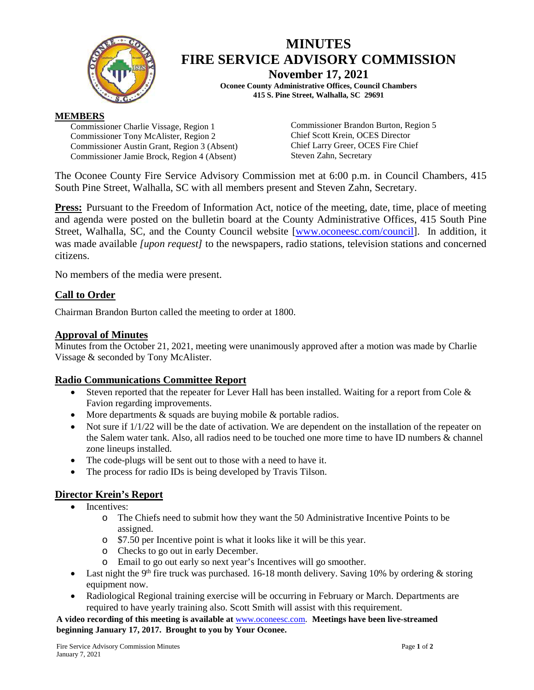

# **MINUTES FIRE SERVICE ADVISORY COMMISSION**

**November 17, 2021**

**Oconee County Administrative Offices, Council Chambers 415 S. Pine Street, Walhalla, SC 29691**

### **MEMBERS**

Commissioner Charlie Vissage, Region 1 Commissioner Tony McAlister, Region 2 Commissioner Austin Grant, Region 3 (Absent) Commissioner Jamie Brock, Region 4 (Absent)

Commissioner Brandon Burton, Region 5 Chief Scott Krein, OCES Director Chief Larry Greer, OCES Fire Chief Steven Zahn, Secretary

The Oconee County Fire Service Advisory Commission met at 6:00 p.m. in Council Chambers, 415 South Pine Street, Walhalla, SC with all members present and Steven Zahn, Secretary.

**Press:** Pursuant to the Freedom of Information Act, notice of the meeting, date, time, place of meeting and agenda were posted on the bulletin board at the County Administrative Offices, 415 South Pine Street, Walhalla, SC, and the County Council website [\[www.oconeesc.com/council\]](http://www.oconeesc.com/council). In addition, it was made available *[upon request]* to the newspapers, radio stations, television stations and concerned citizens.

No members of the media were present.

# **Call to Order**

Chairman Brandon Burton called the meeting to order at 1800.

# **Approval of Minutes**

Minutes from the October 21, 2021, meeting were unanimously approved after a motion was made by Charlie Vissage & seconded by Tony McAlister.

# **Radio Communications Committee Report**

- Steven reported that the repeater for Lever Hall has been installed. Waiting for a report from Cole  $\&$ Favion regarding improvements.
- More departments & squads are buying mobile & portable radios.
- Not sure if  $1/1/22$  will be the date of activation. We are dependent on the installation of the repeater on the Salem water tank. Also, all radios need to be touched one more time to have ID numbers & channel zone lineups installed.
- The code-plugs will be sent out to those with a need to have it.
- The process for radio IDs is being developed by Travis Tilson.

# **Director Krein's Report**

- Incentives<sup>.</sup>
	- o The Chiefs need to submit how they want the 50 Administrative Incentive Points to be assigned.
	- o \$7.50 per Incentive point is what it looks like it will be this year.
	- o Checks to go out in early December.
	- o Email to go out early so next year's Incentives will go smoother.
- Last night the 9<sup>th</sup> fire truck was purchased. 16-18 month delivery. Saving 10% by ordering  $\&$  storing equipment now.
- Radiological Regional training exercise will be occurring in February or March. Departments are required to have yearly training also. Scott Smith will assist with this requirement.

**A video recording of this meeting is available at** [www.oconeesc.com.](http://www.oconeesc.com/) **Meetings have been live-streamed beginning January 17, 2017. Brought to you by Your Oconee.**